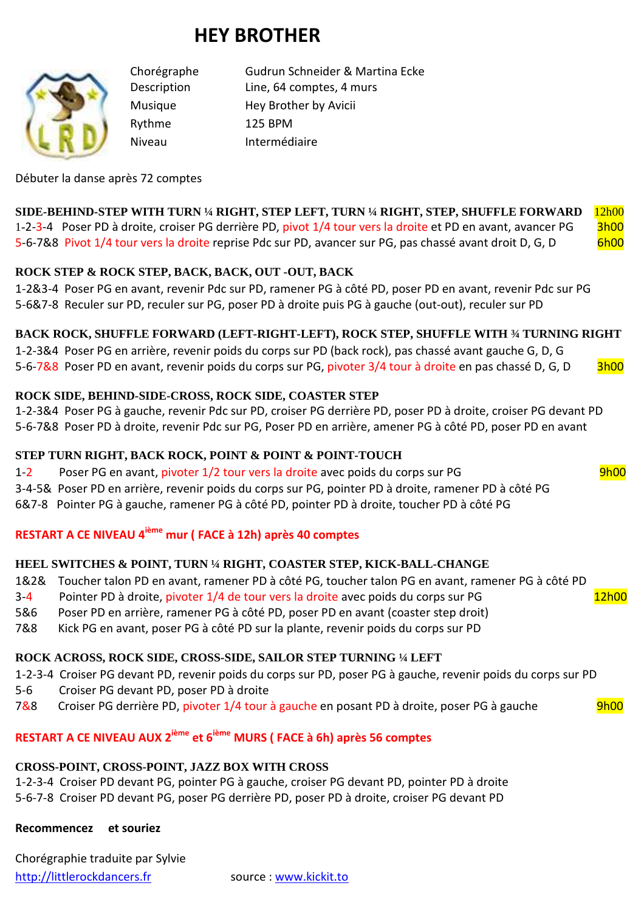# **HEY BROTHER**



Rythme 125 BPM

Chorégraphe Gudrun Schneider & Martina Ecke Description Line, 64 comptes, 4 murs Musique Hey Brother by Avicii Niveau Intermédiaire

Débuter la danse après 72 comptes

#### **SIDE-BEHIND-STEP WITH TURN ¼ RIGHT, STEP LEFT, TURN ¼ RIGHT, STEP, SHUFFLE FORWARD** 12h00 1-2-3-4 Poser PD à droite, croiser PG derrière PD, pivot 1/4 tour vers la droite et PD en avant, avancer PG 3h00 5-6-7&8 Pivot 1/4 tour vers la droite reprise Pdc sur PD, avancer sur PG, pas chassé avant droit D, G, D 6h00

#### **ROCK STEP & ROCK STEP, BACK, BACK, OUT -OUT, BACK**

1-2&3-4 Poser PG en avant, revenir Pdc sur PD, ramener PG à côté PD, poser PD en avant, revenir Pdc sur PG 5-6&7-8 Reculer sur PD, reculer sur PG, poser PD à droite puis PG à gauche (out-out), reculer sur PD

#### **BACK ROCK, SHUFFLE FORWARD (LEFT-RIGHT-LEFT), ROCK STEP, SHUFFLE WITH ¾ TURNING RIGHT**

1-2-3&4 Poser PG en arrière, revenir poids du corps sur PD (back rock), pas chassé avant gauche G, D, G 5-6-7&8 Poser PD en avant, revenir poids du corps sur PG, pivoter 3/4 tour à droite en pas chassé D, G, D 3h00

#### **ROCK SIDE, BEHIND-SIDE-CROSS, ROCK SIDE, COASTER STEP**

1-2-3&4 Poser PG à gauche, revenir Pdc sur PD, croiser PG derrière PD, poser PD à droite, croiser PG devant PD 5-6-7&8 Poser PD à droite, revenir Pdc sur PG, Poser PD en arrière, amener PG à côté PD, poser PD en avant

#### **STEP TURN RIGHT, BACK ROCK, POINT & POINT & POINT-TOUCH**

1-2 Poser PG en avant, pivoter 1/2 tour vers la droite avec poids du corps sur PG 9h00

3-4-5& Poser PD en arrière, revenir poids du corps sur PG, pointer PD à droite, ramener PD à côté PG 6&7-8 Pointer PG à gauche, ramener PG à côté PD, pointer PD à droite, toucher PD à côté PG

#### **RESTART A CE NIVEAU 4ième mur ( FACE à 12h) après 40 comptes**

#### **HEEL SWITCHES & POINT, TURN ¼ RIGHT, COASTER STEP, KICK-BALL-CHANGE**

- 1&2& Toucher talon PD en avant, ramener PD à côté PG, toucher talon PG en avant, ramener PG à côté PD
- 3-4 Pointer PD à droite, pivoter 1/4 de tour vers la droite avec poids du corps sur PG 12h00
- 5&6 Poser PD en arrière, ramener PG à côté PD, poser PD en avant (coaster step droit)
- 7&8 Kick PG en avant, poser PG à côté PD sur la plante, revenir poids du corps sur PD

## **ROCK ACROSS, ROCK SIDE, CROSS-SIDE, SAILOR STEP TURNING ¼ LEFT**

- 1-2-3-4 Croiser PG devant PD, revenir poids du corps sur PD, poser PG à gauche, revenir poids du corps sur PD
- 5-6 Croiser PG devant PD, poser PD à droite
- 7&8 Croiser PG derrière PD, pivoter 1/4 tour à gauche en posant PD à droite, poser PG à gauche 9h00

# **RESTART A CE NIVEAU AUX 2ième et 6ième MURS ( FACE à 6h) après 56 comptes**

## **CROSS-POINT, CROSS-POINT, JAZZ BOX WITH CROSS**

1-2-3-4 Croiser PD devant PG, pointer PG à gauche, croiser PG devant PD, pointer PD à droite 5-6-7-8 Croiser PD devant PG, poser PG derrière PD, poser PD à droite, croiser PG devant PD

**Recommencez et souriez**